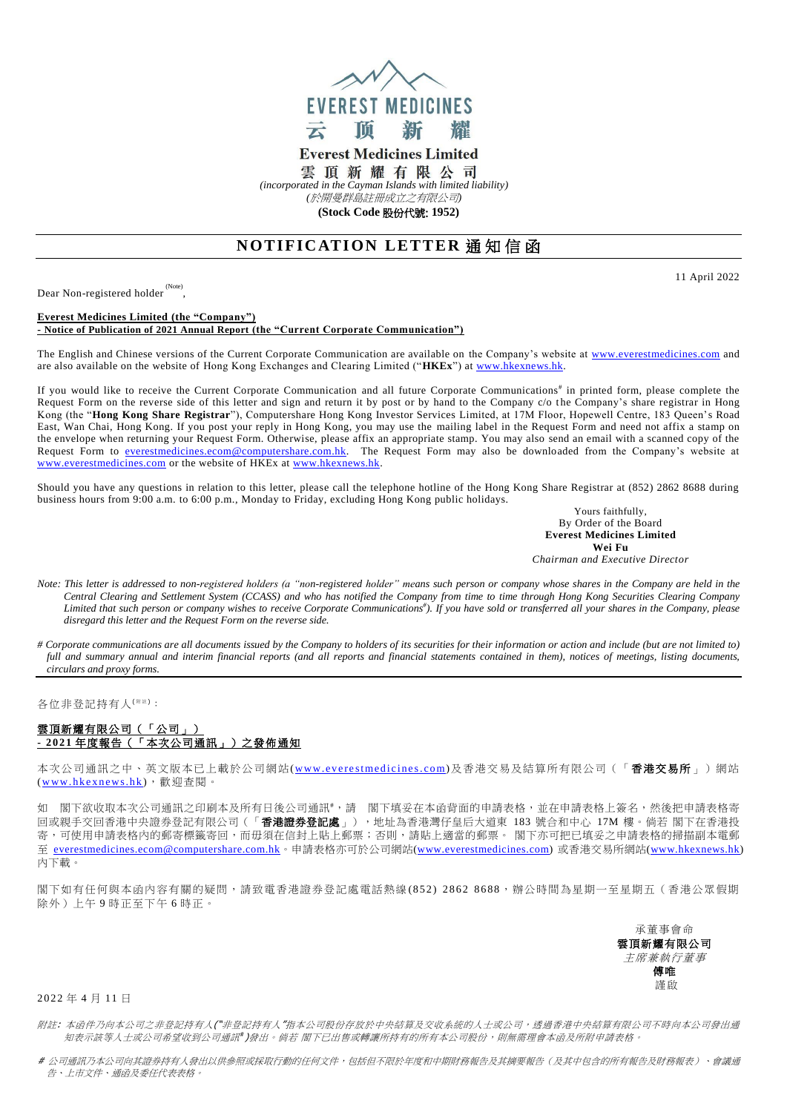

**Everest Medicines Limited** 雲頂新耀有限公司

*(incorporated in the Cayman Islands with limited liability) (*於開曼群島註冊成立之有限公司*)*

**(Stock Code** 股份代號: **1952)**

## **NOTIFICATION LETTER 通知信函**

Dear Non-registered holder (Note) ,

**Everest Medicines Limited (the "Company") - Notice of Publication of 2021 Annual Report (the "Current Corporate Communication")**

The English and Chinese versions of the Current Corporate Communication are available on the Company's website at [www.everestmedicines.com](https://www.everestmedicines.com/) and are also available on the website of Hong Kong Exchanges and Clearing Limited ("**HKEx**") at [www.hkexnews.hk.](http://www.hkexnews.hk/)

If you would like to receive the Current Corporate Communication and all future Corporate Communications<sup>#</sup> in printed form, please complete the Request Form on the reverse side of this letter and sign and return it by post or by hand to the Company c/o the Company's share registrar in Hong Kong (the "**Hong Kong Share Registrar**"), Computershare Hong Kong Investor Services Limited, at 17M Floor, Hopewell Centre, 183 Queen's Road East, Wan Chai, Hong Kong. If you post your reply in Hong Kong, you may use the mailing label in the Request Form and need not affix a stamp on the envelope when returning your Request Form. Otherwise, please affix an appropriate stamp. You may also send an email with a scanned copy of the Request Form to <u>everestmedicines.ecom@computershare.com.hk</u>. The Request Form may also be downloaded from the Company's website at [www.everestmedicines.com](https://www.everestmedicines.com/) or the website of HKEx a[t www.hkexnews.hk.](http://www.hkexnews.hk/)

Should you have any questions in relation to this letter, please call the telephone hotline of the Hong Kong Share Registrar at (852) 2862 8688 during business hours from 9:00 a.m. to 6:00 p.m., Monday to Friday, excluding Hong Kong public holidays.

Yours faithfully, By Order of the Board **Everest Medicines Limited Wei Fu** *Chairman and Executive Director*

*Note: This letter is addressed to non-registered holders (a "non-registered holder" means such person or company whose shares in the Company are held in the Central Clearing and Settlement System (CCASS) and who has notified the Company from time to time through Hong Kong Securities Clearing Company Limited that such person or company wishes to receive Corporate Communications# ). If you have sold or transferred all your shares in the Company, please disregard this letter and the Request Form on the reverse side.*

*# Corporate communications are all documents issued by the Company to holders of its securities for their information or action and include (but are not limited to) full and summary annual and interim financial reports (and all reports and financial statements contained in them), notices of meetings, listing documents, circulars and proxy forms.*

各位非登記持有人<sup>( 附注)</sup>:

## 雲頂新耀有限公司(「公司」) **- 2021** 年度報告(「本次公司通訊」)之發佈通知

本次公司通訊之中、英文版本已上載於公司網站(www.everestmedicines.com)及香港交易及結算所有限公司(「**香港交易所**」)網站 (www.hkexnews.hk),歡迎查閱。

如 閣下欲收取本次公司通訊之印刷本及所有日後公司通訊 #; 請 閣下填妥在本函背面的申請表格,並在申請表格上簽名,然後把申請表格寄 。<br>回或親手交回香港中央證券登記有限公司(「**香港證券登記處**」),地址為香港灣仔皇后大道東 183 號合和中心 17M 樓。倘若 閣下在香港投 寄,可使用申請表格內的郵寄標籤寄回,而毋須在信封上貼上郵票;否則,請貼上適當的郵票。 閣下亦可把已填妥之申請表格的掃描副本電郵 至 [everestmedicines.ecom@computershare.com.hk](mailto:everestmedicines.ecom@computershare.com.hk)。申請表格亦可於公司網站[\(www.everestmedicines.com\)](https://www.everestmedicines.com/) 或香港交易所網站[\(www.hkexnews.hk\)](http://www.hkexnews.hk/) 內下載。

閣下如有任何與本函內容有關的疑問,請致電香港證券登記處電話熱線 (8 5 2 ) 2 8 6 2 8 6 8 8,辦公時間為星期一至星期五(香港公眾假期 除外)上午 9 時正至下午 6 時正。

> 承董事會命 雲頂新耀有限公司 主席兼執行董事 傅唯 謹啟

2 022 年 4 月 1 1 日

附註: 本函件乃向本公司之非登記持有人("非登記持有人"指本公司股份存放於中央結算及交收系統的人士或公司,透過香港中央結算有限公司不時向本公司發出通 知表示該等人士或公司希望收到公司通訊 )發出。 倘若 閣下已出售或轉讓所持有的所有本公司股份,則無需理會本函及所附申請表格。

# 公司通訊乃本公司向其證券持有人發出以供參照或採取行動的任何文件,包括但不限於年度和中期財務報告及其摘要報告(及其中包含的所有報告及財務報表)、會議通 告、上市文件、通函及委任代表表格。

11 April 2022